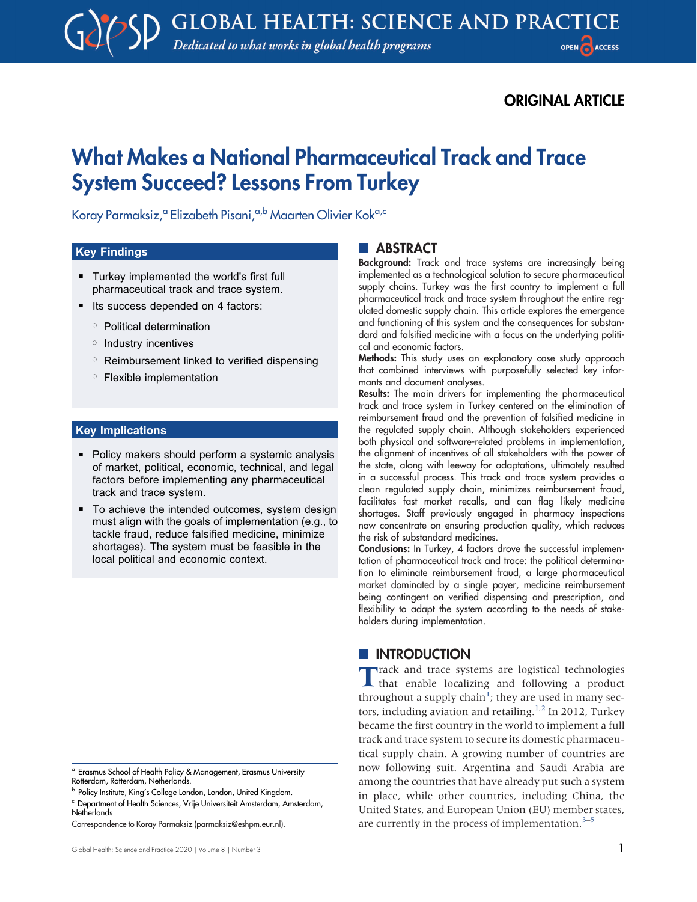## ORIGINAL ARTICLE

# What Makes a National Pharmaceutical Track and Trace System Succeed? Lessons From Turkey

Koray Parmaksiz,<sup>a</sup> Elizabeth Pisani,<sup>a,b</sup> Maarten Olivier Kok<sup>a,c</sup>

## Key Findings

- **Turkey implemented the world's first full** pharmaceutical track and trace system.
- Its success depended on 4 factors:
	- $\circ$  Political determination
	- $\circ$  Industry incentives
	- $\circ$  Reimbursement linked to verified dispensing
	- $\circ$  Flexible implementation

#### Key Implications

- Policy makers should perform a systemic analysis of market, political, economic, technical, and legal factors before implementing any pharmaceutical track and trace system.
- $\blacksquare$  To achieve the intended outcomes, system design must align with the goals of implementation (e.g., to tackle fraud, reduce falsified medicine, minimize shortages). The system must be feasible in the local political and economic context.

Correspondence to Koray Parmaksiz ([parmaksiz@eshpm.eur.nl\)](mailto:parmaksiz@eshpm.eur.nl).

### **ABSTRACT**

Background: Track and trace systems are increasingly being implemented as a technological solution to secure pharmaceutical supply chains. Turkey was the first country to implement a full pharmaceutical track and trace system throughout the entire regulated domestic supply chain. This article explores the emergence and functioning of this system and the consequences for substandard and falsified medicine with a focus on the underlying political and economic factors.

Methods: This study uses an explanatory case study approach that combined interviews with purposefully selected key informants and document analyses.

Results: The main drivers for implementing the pharmaceutical track and trace system in Turkey centered on the elimination of reimbursement fraud and the prevention of falsified medicine in the regulated supply chain. Although stakeholders experienced both physical and software-related problems in implementation, the alignment of incentives of all stakeholders with the power of the state, along with leeway for adaptations, ultimately resulted in a successful process. This track and trace system provides a clean regulated supply chain, minimizes reimbursement fraud, facilitates fast market recalls, and can flag likely medicine shortages. Staff previously engaged in pharmacy inspections now concentrate on ensuring production quality, which reduces the risk of substandard medicines.

Conclusions: In Turkey, 4 factors drove the successful implementation of pharmaceutical track and trace: the political determination to eliminate reimbursement fraud, a large pharmaceutical market dominated by a single payer, medicine reimbursement being contingent on verified dispensing and prescription, and flexibility to adapt the system according to the needs of stakeholders during implementation.

## **INTRODUCTION**

Track and trace systems are logistical technologies that enable localizing and following a product throughout a supply chain<sup>[1](#page-9-0)</sup>; they are used in many sec-tors, including aviation and retailing.<sup>[1,](#page-9-0)[2](#page-9-1)</sup> In 2012, Turkey became the first country in the world to implement a full track and trace system to secure its domestic pharmaceutical supply chain. A growing number of countries are now following suit. Argentina and Saudi Arabia are among the countries that have already put such a system in place, while other countries, including China, the United States, and European Union (EU) member states, are currently in the process of implementation. $3-5$  $3-5$  $3-5$ 

<sup>a</sup> Erasmus School of Health Policy & Management, Erasmus University Rotterdam, Rotterdam, Netherlands.

**b** Policy Institute, King's College London, London, United Kingdom.

<sup>c</sup> Department of Health Sciences, Vrije Universiteit Amsterdam, Amsterdam, **Netherlands**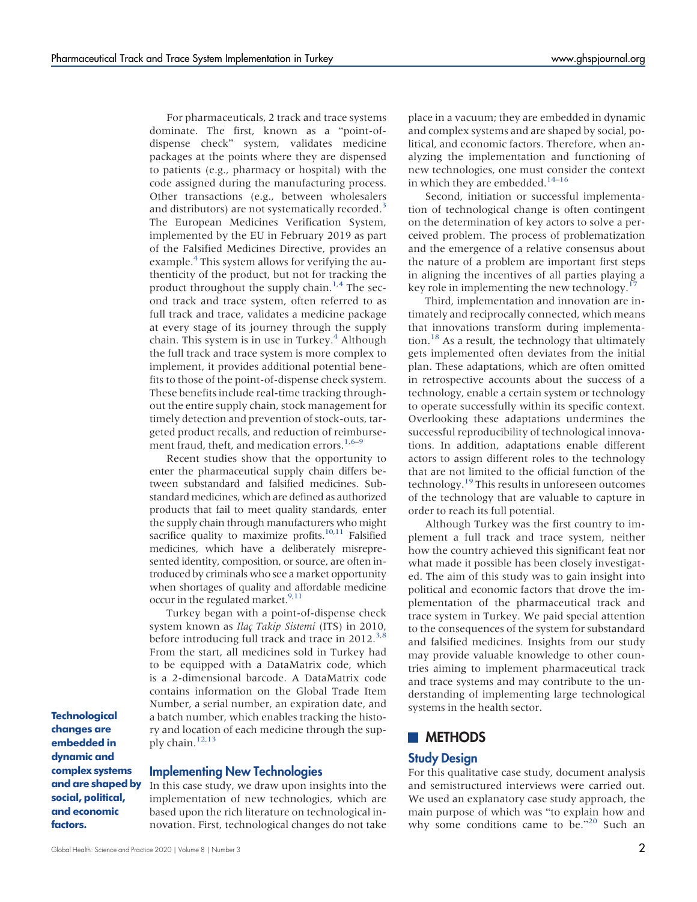For pharmaceuticals, 2 track and trace systems dominate. The first, known as a "point-ofdispense check" system, validates medicine packages at the points where they are dispensed to patients (e.g., pharmacy or hospital) with the code assigned during the manufacturing process. Other transactions (e.g., between wholesalers and distributors) are not systematically recorded.<sup>[3](#page-9-2)</sup> The European Medicines Verification System, implemented by the EU in February 2019 as part of the Falsified Medicines Directive, provides an example.<sup>[4](#page-9-4)</sup> This system allows for verifying the authenticity of the product, but not for tracking the product throughout the supply chain.<sup>[1,](#page-9-0)[4](#page-9-4)</sup> The second track and trace system, often referred to as full track and trace, validates a medicine package at every stage of its journey through the supply chain. This system is in use in Turkey. $4$  Although the full track and trace system is more complex to implement, it provides additional potential benefits to those of the point-of-dispense check system. These benefits include real-time tracking throughout the entire supply chain, stock management for timely detection and prevention of stock-outs, targeted product recalls, and reduction of reimburse-ment fraud, theft, and medication errors.<sup>[1](#page-9-0)[,6](#page-9-5)–[9](#page-9-6)</sup>

Recent studies show that the opportunity to enter the pharmaceutical supply chain differs between substandard and falsified medicines. Substandard medicines, which are defined as authorized products that fail to meet quality standards, enter the supply chain through manufacturers who might sacrifice quality to maximize profits. $10,11$  $10,11$  Falsified medicines, which have a deliberately misrepresented identity, composition, or source, are often introduced by criminals who see a market opportunity when shortages of quality and affordable medicine occur in the regulated market.<sup>9[,11](#page-9-8)</sup>

Turkey began with a point-of-dispense check system known as Ilaç Takip Sistemi (ITS) in 2010, before introducing full track and trace in  $2012.^{3,8}$  $2012.^{3,8}$  $2012.^{3,8}$ From the start, all medicines sold in Turkey had to be equipped with a DataMatrix code, which is a 2-dimensional barcode. A DataMatrix code contains information on the Global Trade Item Number, a serial number, an expiration date, and a batch number, which enables tracking the history and location of each medicine through the sup-ply chain.<sup>[12](#page-9-10)[,13](#page-9-11)</sup>

**Technological** changes are embedded in dynamic and complex systems and are shaped by social, political, and economic factors.

#### Implementing New Technologies

In this case study, we draw upon insights into the implementation of new technologies, which are based upon the rich literature on technological innovation. First, technological changes do not take

place in a vacuum; they are embedded in dynamic and complex systems and are shaped by social, political, and economic factors. Therefore, when analyzing the implementation and functioning of new technologies, one must consider the context in which they are embedded.<sup>14-[16](#page-9-13)</sup>

Second, initiation or successful implementation of technological change is often contingent on the determination of key actors to solve a perceived problem. The process of problematization and the emergence of a relative consensus about the nature of a problem are important first steps in aligning the incentives of all parties playing a key role in implementing the new technology. $<sup>1</sup>$ </sup>

Third, implementation and innovation are intimately and reciprocally connected, which means that innovations transform during implementation.<sup>18</sup> As a result, the technology that ultimately gets implemented often deviates from the initial plan. These adaptations, which are often omitted in retrospective accounts about the success of a technology, enable a certain system or technology to operate successfully within its specific context. Overlooking these adaptations undermines the successful reproducibility of technological innovations. In addition, adaptations enable different actors to assign different roles to the technology that are not limited to the official function of the technology.<sup>19</sup> This results in unforeseen outcomes of the technology that are valuable to capture in order to reach its full potential.

Although Turkey was the first country to implement a full track and trace system, neither how the country achieved this significant feat nor what made it possible has been closely investigated. The aim of this study was to gain insight into political and economic factors that drove the implementation of the pharmaceutical track and trace system in Turkey. We paid special attention to the consequences of the system for substandard and falsified medicines. Insights from our study may provide valuable knowledge to other countries aiming to implement pharmaceutical track and trace systems and may contribute to the understanding of implementing large technological systems in the health sector.

## **METHODS**

#### Study Design

For this qualitative case study, document analysis and semistructured interviews were carried out. We used an explanatory case study approach, the main purpose of which was "to explain how and why some conditions came to be."<sup>[20](#page-9-17)</sup> Such an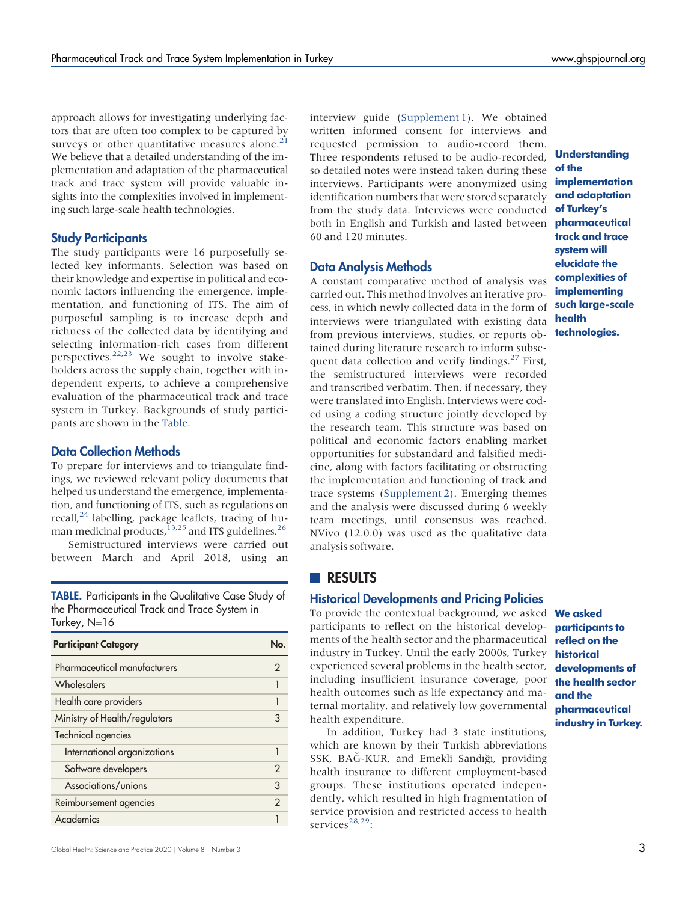approach allows for investigating underlying factors that are often too complex to be captured by surveys or other quantitative measures alone. $21$ We believe that a detailed understanding of the implementation and adaptation of the pharmaceutical track and trace system will provide valuable insights into the complexities involved in implementing such large-scale health technologies.

### Study Participants

The study participants were 16 purposefully selected key informants. Selection was based on their knowledge and expertise in political and economic factors influencing the emergence, implementation, and functioning of ITS. The aim of purposeful sampling is to increase depth and richness of the collected data by identifying and selecting information-rich cases from different perspectives.<sup>[22](#page-9-19)[,23](#page-9-20)</sup> We sought to involve stakeholders across the supply chain, together with independent experts, to achieve a comprehensive evaluation of the pharmaceutical track and trace system in Turkey. Backgrounds of study participants are shown in the [Table.](#page-2-0)

#### Data Collection Methods

To prepare for interviews and to triangulate findings, we reviewed relevant policy documents that helped us understand the emergence, implementation, and functioning of ITS, such as regulations on recall, $^{24}$  $^{24}$  $^{24}$  labelling, package leaflets, tracing of human medicinal products,  $13,25$  $13,25$  and ITS guidelines.<sup>[26](#page-10-0)</sup>

Semistructured interviews were carried out between March and April 2018, using an

<span id="page-2-0"></span>TABLE. Participants in the Qualitative Case Study of the Pharmaceutical Track and Trace System in Turkey, N=16

| <b>Participant Category</b>   | N٥.            |
|-------------------------------|----------------|
| Pharmaceutical manufacturers  | 2              |
| Wholesalers                   |                |
| Health care providers         |                |
| Ministry of Health/regulators | З              |
| <b>Technical agencies</b>     |                |
| International organizations   | 1              |
| Software developers           | 2              |
| Associations/unions           | 3              |
| Reimbursement agencies        | $\mathfrak{p}$ |
| Academics                     |                |

interview guide [\(Supplement 1](http://ghspjournal.org/lookup/suppl/doi:10.9745/GHSP-D-20-00084/-/DCSupplemental)). We obtained written informed consent for interviews and requested permission to audio-record them. Three respondents refused to be audio-recorded, so detailed notes were instead taken during these interviews. Participants were anonymized using identification numbers that were stored separately from the study data. Interviews were conducted both in English and Turkish and lasted between 60 and 120 minutes.

## Data Analysis Methods

A constant comparative method of analysis was carried out. This method involves an iterative process, in which newly collected data in the form of interviews were triangulated with existing data from previous interviews, studies, or reports obtained during literature research to inform subsequent data collection and verify findings.<sup>27</sup> First, the semistructured interviews were recorded and transcribed verbatim. Then, if necessary, they were translated into English. Interviews were coded using a coding structure jointly developed by the research team. This structure was based on political and economic factors enabling market opportunities for substandard and falsified medicine, along with factors facilitating or obstructing the implementation and functioning of track and trace systems [\(Supplement 2](http://ghspjournal.org/lookup/suppl/doi:10.9745/GHSP-D-20-00084/-/DCSupplemental)). Emerging themes and the analysis were discussed during 6 weekly team meetings, until consensus was reached. NVivo (12.0.0) was used as the qualitative data analysis software.

## **RESULTS**

#### Historical Developments and Pricing Policies

To provide the contextual background, we asked **We asked** participants to reflect on the historical develop- **participants to** ments of the health sector and the pharmaceutical **reflect on the** industry in Turkey. Until the early 2000s, Turkey historical experienced several problems in the health sector, including insufficient insurance coverage, poor health outcomes such as life expectancy and maternal mortality, and relatively low governmental health expenditure.

In addition, Turkey had 3 state institutions, which are known by their Turkish abbreviations SSK, BAĞ-KUR, and Emekli Sandığı, providing health insurance to different employment-based groups. These institutions operated independently, which resulted in high fragmentation of service provision and restricted access to health services $28,29$  $28,29$ :

**Understanding** of the implementation and adaptation of Turkey's pharmaceutical track and trace system will elucidate the complexities of implementing such large-scale health technologies.

developments of the health sector and the pharmaceutical industry in Turkey.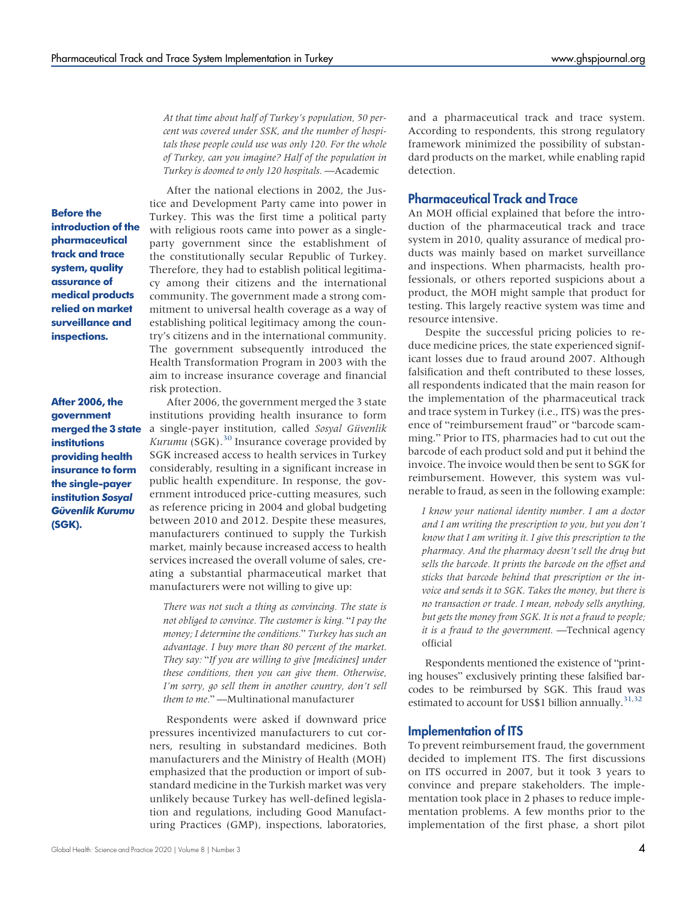At that time about half of Turkey's population, 50 percent was covered under SSK, and the number of hospitals those people could use was only 120. For the whole of Turkey, can you imagine? Half of the population in Turkey is doomed to only 120 hospitals. —Academic

Before the introduction of the pharmaceutical track and trace system, quality assurance of medical products relied on market surveillance and inspections.

After 2006, the government merged the 3 state institutions providing health insurance to form the single-payer institution Sosyal Güvenlik Kurumu (SGK).

After the national elections in 2002, the Justice and Development Party came into power in Turkey. This was the first time a political party with religious roots came into power as a singleparty government since the establishment of the constitutionally secular Republic of Turkey. Therefore, they had to establish political legitimacy among their citizens and the international community. The government made a strong commitment to universal health coverage as a way of establishing political legitimacy among the country's citizens and in the international community. The government subsequently introduced the Health Transformation Program in 2003 with the aim to increase insurance coverage and financial risk protection.

After 2006, the government merged the 3 state institutions providing health insurance to form a single-payer institution, called Sosyal Güvenlik Kurumu (SGK). $30$  Insurance coverage provided by SGK increased access to health services in Turkey considerably, resulting in a significant increase in public health expenditure. In response, the government introduced price-cutting measures, such as reference pricing in 2004 and global budgeting between 2010 and 2012. Despite these measures, manufacturers continued to supply the Turkish market, mainly because increased access to health services increased the overall volume of sales, creating a substantial pharmaceutical market that manufacturers were not willing to give up:

There was not such a thing as convincing. The state is not obliged to convince. The customer is king. "I pay the money; I determine the conditions." Turkey has such an advantage. I buy more than 80 percent of the market. They say: "If you are willing to give [medicines] under these conditions, then you can give them. Otherwise, I'm sorry, go sell them in another country, don't sell them to me." —Multinational manufacturer

Respondents were asked if downward price pressures incentivized manufacturers to cut corners, resulting in substandard medicines. Both manufacturers and the Ministry of Health (MOH) emphasized that the production or import of substandard medicine in the Turkish market was very unlikely because Turkey has well-defined legislation and regulations, including Good Manufacturing Practices (GMP), inspections, laboratories, and a pharmaceutical track and trace system. According to respondents, this strong regulatory framework minimized the possibility of substandard products on the market, while enabling rapid detection.

#### Pharmaceutical Track and Trace

An MOH official explained that before the introduction of the pharmaceutical track and trace system in 2010, quality assurance of medical products was mainly based on market surveillance and inspections. When pharmacists, health professionals, or others reported suspicions about a product, the MOH might sample that product for testing. This largely reactive system was time and resource intensive.

Despite the successful pricing policies to reduce medicine prices, the state experienced significant losses due to fraud around 2007. Although falsification and theft contributed to these losses, all respondents indicated that the main reason for the implementation of the pharmaceutical track and trace system in Turkey (i.e., ITS) was the presence of "reimbursement fraud" or "barcode scamming." Prior to ITS, pharmacies had to cut out the barcode of each product sold and put it behind the invoice. The invoice would then be sent to SGK for reimbursement. However, this system was vulnerable to fraud, as seen in the following example:

I know your national identity number. I am a doctor and I am writing the prescription to you, but you don't know that I am writing it. I give this prescription to the pharmacy. And the pharmacy doesn't sell the drug but sells the barcode. It prints the barcode on the offset and sticks that barcode behind that prescription or the invoice and sends it to SGK. Takes the money, but there is no transaction or trade. I mean, nobody sells anything, but gets the money from SGK. It is not a fraud to people; it is a fraud to the government. —Technical agency official

Respondents mentioned the existence of "printing houses" exclusively printing these falsified barcodes to be reimbursed by SGK. This fraud was estimated to account for US\$1 billion annually.<sup>[31](#page-10-5)[,32](#page-10-6)</sup>

#### Implementation of ITS

To prevent reimbursement fraud, the government decided to implement ITS. The first discussions on ITS occurred in 2007, but it took 3 years to convince and prepare stakeholders. The implementation took place in 2 phases to reduce implementation problems. A few months prior to the implementation of the first phase, a short pilot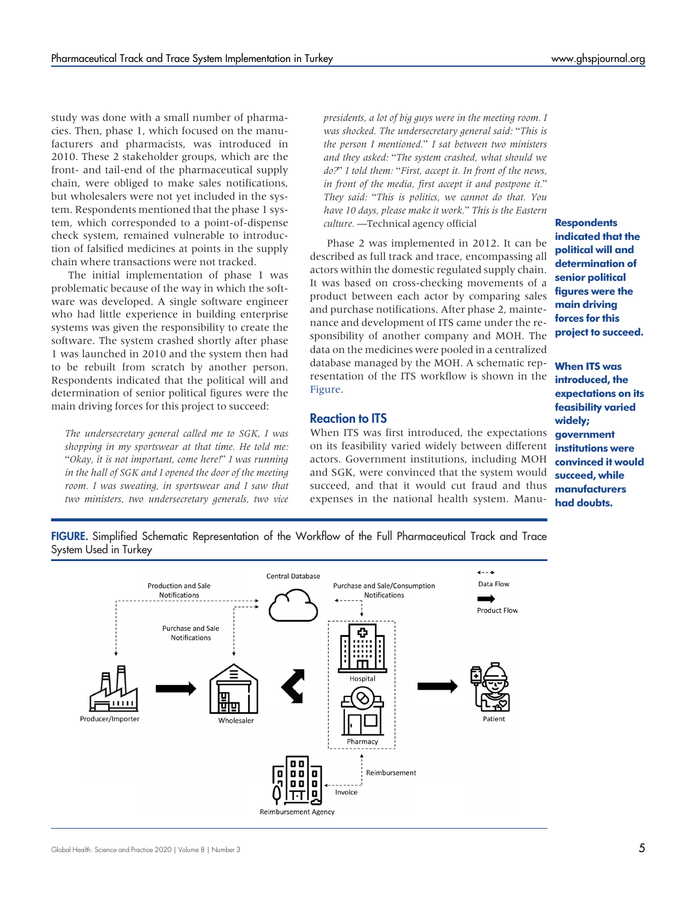study was done with a small number of pharmacies. Then, phase 1, which focused on the manufacturers and pharmacists, was introduced in 2010. These 2 stakeholder groups, which are the front- and tail-end of the pharmaceutical supply chain, were obliged to make sales notifications, but wholesalers were not yet included in the system. Respondents mentioned that the phase 1 system, which corresponded to a point-of-dispense check system, remained vulnerable to introduction of falsified medicines at points in the supply chain where transactions were not tracked.

The initial implementation of phase 1 was problematic because of the way in which the software was developed. A single software engineer who had little experience in building enterprise systems was given the responsibility to create the software. The system crashed shortly after phase 1 was launched in 2010 and the system then had to be rebuilt from scratch by another person. Respondents indicated that the political will and determination of senior political figures were the main driving forces for this project to succeed:

The undersecretary general called me to SGK, I was shopping in my sportswear at that time. He told me: "Okay, it is not important, come here!" I was running in the hall of SGK and I opened the door of the meeting room. I was sweating, in sportswear and I saw that two ministers, two undersecretary generals, two vice

presidents, a lot of big guys were in the meeting room. I was shocked. The undersecretary general said: "This is the person I mentioned." I sat between two ministers and they asked: "The system crashed, what should we do?" I told them: "First, accept it. In front of the news, in front of the media, first accept it and postpone it." They said: "This is politics, we cannot do that. You have 10 days, please make it work." This is the Eastern culture. —Technical agency official

Phase 2 was implemented in 2012. It can be described as full track and trace, encompassing all actors within the domestic regulated supply chain. It was based on cross-checking movements of a product between each actor by comparing sales and purchase notifications. After phase 2, maintenance and development of ITS came under the responsibility of another company and MOH. The data on the medicines were pooled in a centralized database managed by the MOH. A schematic representation of the ITS workflow is shown in the Figure.

#### Reaction to ITS

When ITS was first introduced, the expectations on its feasibility varied widely between different actors. Government institutions, including MOH and SGK, were convinced that the system would succeed, and that it would cut fraud and thus expenses in the national health system. Manu**Respondents** indicated that the political will and determination of senior political figures were the main driving forces for this project to succeed.

When ITS was introduced, the expectations on its feasibility varied widely; government institutions were convinced it would succeed, while manufacturers had doubts.

FIGURE. Simplified Schematic Representation of the Workflow of the Full Pharmaceutical Track and Trace System Used in Turkey

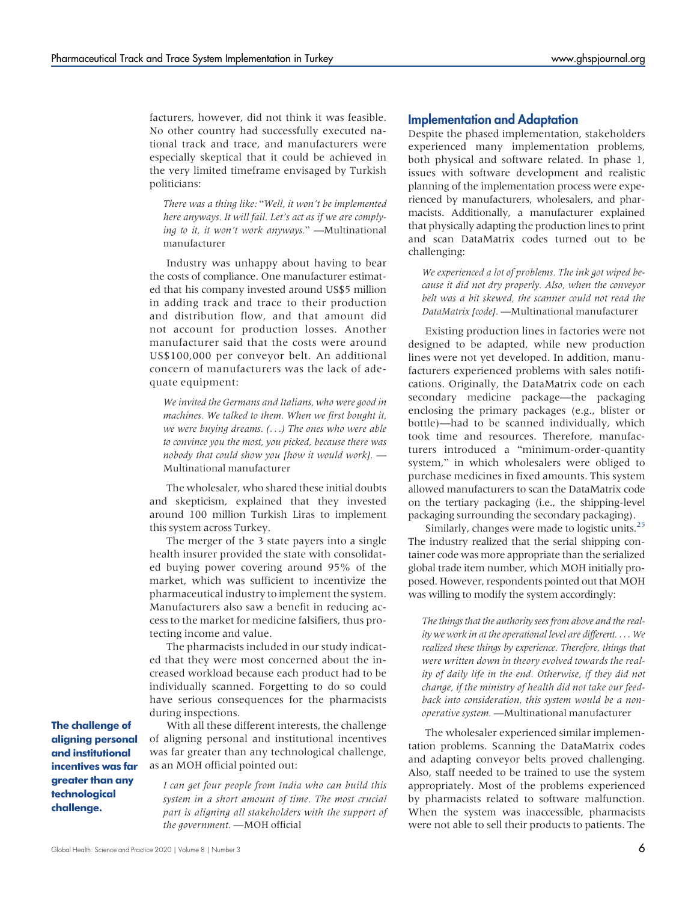facturers, however, did not think it was feasible. No other country had successfully executed national track and trace, and manufacturers were especially skeptical that it could be achieved in the very limited timeframe envisaged by Turkish politicians:

There was a thing like: "Well, it won't be implemented here anyways. It will fail. Let's act as if we are complying to it, it won't work anyways." —Multinational manufacturer

Industry was unhappy about having to bear the costs of compliance. One manufacturer estimated that his company invested around US\$5 million in adding track and trace to their production and distribution flow, and that amount did not account for production losses. Another manufacturer said that the costs were around US\$100,000 per conveyor belt. An additional concern of manufacturers was the lack of adequate equipment:

We invited the Germans and Italians, who were good in machines. We talked to them. When we first bought it, we were buying dreams. (...) The ones who were able to convince you the most, you picked, because there was nobody that could show you [how it would work]. — Multinational manufacturer

The wholesaler, who shared these initial doubts and skepticism, explained that they invested around 100 million Turkish Liras to implement this system across Turkey.

The merger of the 3 state payers into a single health insurer provided the state with consolidated buying power covering around 95% of the market, which was sufficient to incentivize the pharmaceutical industry to implement the system. Manufacturers also saw a benefit in reducing access to the market for medicine falsifiers, thus protecting income and value.

The pharmacists included in our study indicated that they were most concerned about the increased workload because each product had to be individually scanned. Forgetting to do so could have serious consequences for the pharmacists during inspections.

With all these different interests, the challenge of aligning personal and institutional incentives was far greater than any technological challenge, as an MOH official pointed out:

I can get four people from India who can build this system in a short amount of time. The most crucial part is aligning all stakeholders with the support of the government. —MOH official

#### Implementation and Adaptation

Despite the phased implementation, stakeholders experienced many implementation problems, both physical and software related. In phase 1, issues with software development and realistic planning of the implementation process were experienced by manufacturers, wholesalers, and pharmacists. Additionally, a manufacturer explained that physically adapting the production lines to print and scan DataMatrix codes turned out to be challenging:

We experienced a lot of problems. The ink got wiped because it did not dry properly. Also, when the conveyor belt was a bit skewed, the scanner could not read the DataMatrix [code]. —Multinational manufacturer

Existing production lines in factories were not designed to be adapted, while new production lines were not yet developed. In addition, manufacturers experienced problems with sales notifications. Originally, the DataMatrix code on each secondary medicine package—the packaging enclosing the primary packages (e.g., blister or bottle)—had to be scanned individually, which took time and resources. Therefore, manufacturers introduced a "minimum-order-quantity system," in which wholesalers were obliged to purchase medicines in fixed amounts. This system allowed manufacturers to scan the DataMatrix code on the tertiary packaging (i.e., the shipping-level packaging surrounding the secondary packaging).

Similarly, changes were made to logistic units.<sup>25</sup> The industry realized that the serial shipping container code was more appropriate than the serialized global trade item number, which MOH initially proposed. However, respondents pointed out that MOH was willing to modify the system accordingly:

The things that the authority sees from above and the reality we work in at the operational level are different. ... We realized these things by experience. Therefore, things that were written down in theory evolved towards the reality of daily life in the end. Otherwise, if they did not change, if the ministry of health did not take our feedback into consideration, this system would be a nonoperative system. —Multinational manufacturer

The wholesaler experienced similar implementation problems. Scanning the DataMatrix codes and adapting conveyor belts proved challenging. Also, staff needed to be trained to use the system appropriately. Most of the problems experienced by pharmacists related to software malfunction. When the system was inaccessible, pharmacists were not able to sell their products to patients. The

The challenge of aligning personal and institutional incentives was far greater than any technological challenge.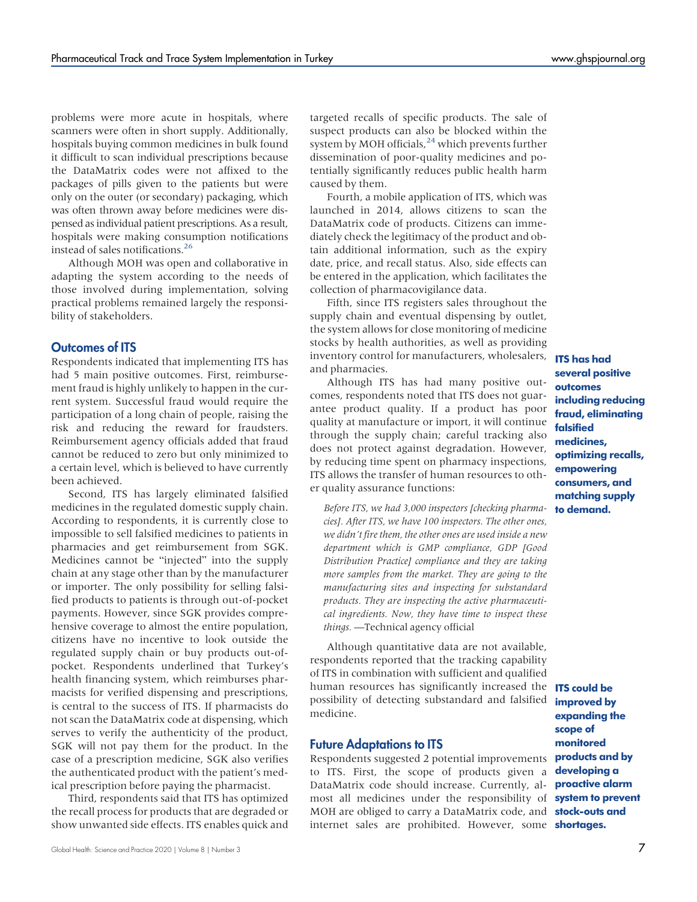problems were more acute in hospitals, where scanners were often in short supply. Additionally, hospitals buying common medicines in bulk found it difficult to scan individual prescriptions because the DataMatrix codes were not affixed to the packages of pills given to the patients but were only on the outer (or secondary) packaging, which was often thrown away before medicines were dispensed as individual patient prescriptions. As a result, hospitals were making consumption notifications instead of sales notifications.[26](#page-10-0)

Although MOH was open and collaborative in adapting the system according to the needs of those involved during implementation, solving practical problems remained largely the responsibility of stakeholders.

#### Outcomes of ITS

Respondents indicated that implementing ITS has had 5 main positive outcomes. First, reimbursement fraud is highly unlikely to happen in the current system. Successful fraud would require the participation of a long chain of people, raising the risk and reducing the reward for fraudsters. Reimbursement agency officials added that fraud cannot be reduced to zero but only minimized to a certain level, which is believed to have currently been achieved.

Second, ITS has largely eliminated falsified medicines in the regulated domestic supply chain. According to respondents, it is currently close to impossible to sell falsified medicines to patients in pharmacies and get reimbursement from SGK. Medicines cannot be "injected" into the supply chain at any stage other than by the manufacturer or importer. The only possibility for selling falsified products to patients is through out-of-pocket payments. However, since SGK provides comprehensive coverage to almost the entire population, citizens have no incentive to look outside the regulated supply chain or buy products out-ofpocket. Respondents underlined that Turkey's health financing system, which reimburses pharmacists for verified dispensing and prescriptions, is central to the success of ITS. If pharmacists do not scan the DataMatrix code at dispensing, which serves to verify the authenticity of the product, SGK will not pay them for the product. In the case of a prescription medicine, SGK also verifies the authenticated product with the patient's medical prescription before paying the pharmacist.

Third, respondents said that ITS has optimized the recall process for products that are degraded or show unwanted side effects. ITS enables quick and targeted recalls of specific products. The sale of suspect products can also be blocked within the system by MOH officials,  $24$  which prevents further dissemination of poor-quality medicines and potentially significantly reduces public health harm caused by them.

Fourth, a mobile application of ITS, which was launched in 2014, allows citizens to scan the DataMatrix code of products. Citizens can immediately check the legitimacy of the product and obtain additional information, such as the expiry date, price, and recall status. Also, side effects can be entered in the application, which facilitates the collection of pharmacovigilance data.

Fifth, since ITS registers sales throughout the supply chain and eventual dispensing by outlet, the system allows for close monitoring of medicine stocks by health authorities, as well as providing inventory control for manufacturers, wholesalers, and pharmacies.

Although ITS has had many positive outcomes, respondents noted that ITS does not guarantee product quality. If a product has poor quality at manufacture or import, it will continue through the supply chain; careful tracking also does not protect against degradation. However, by reducing time spent on pharmacy inspections, ITS allows the transfer of human resources to other quality assurance functions:

Before ITS, we had 3,000 inspectors [checking pharmacies]. After ITS, we have 100 inspectors. The other ones, we didn't fire them, the other ones are used inside a new department which is GMP compliance, GDP [Good Distribution Practice] compliance and they are taking more samples from the market. They are going to the manufacturing sites and inspecting for substandard products. They are inspecting the active pharmaceutical ingredients. Now, they have time to inspect these things. —Technical agency official

Although quantitative data are not available, respondents reported that the tracking capability of ITS in combination with sufficient and qualified human resources has significantly increased the **ITS could be** possibility of detecting substandard and falsified medicine.

#### Future Adaptations to ITS

Respondents suggested 2 potential improvements to ITS. First, the scope of products given a DataMatrix code should increase. Currently, almost all medicines under the responsibility of system to prevent MOH are obliged to carry a DataMatrix code, and internet sales are prohibited. However, some **shortages.** 

ITS has had several positive outcomes including reducing fraud, eliminating falsified medicines, optimizing recalls, empowering consumers, and matching supply to demand.

improved by expanding the scope of monitored products and by developing a proactive alarm stock-outs and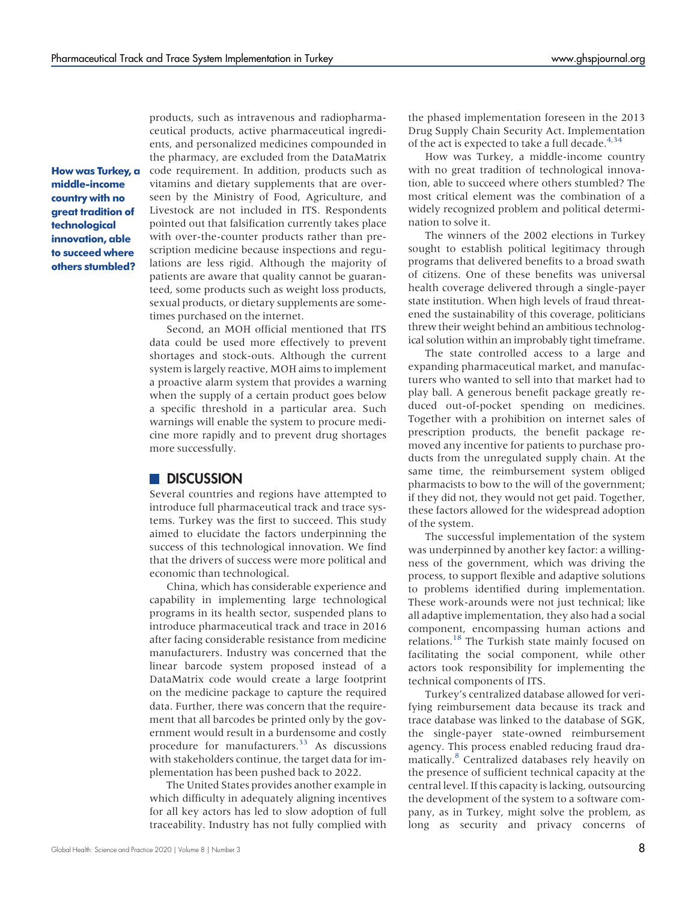How was Turkey, a middle-income country with no great tradition of technological innovation, able to succeed where others stumbled?

products, such as intravenous and radiopharmaceutical products, active pharmaceutical ingredients, and personalized medicines compounded in the pharmacy, are excluded from the DataMatrix code requirement. In addition, products such as vitamins and dietary supplements that are overseen by the Ministry of Food, Agriculture, and Livestock are not included in ITS. Respondents pointed out that falsification currently takes place with over-the-counter products rather than prescription medicine because inspections and regulations are less rigid. Although the majority of patients are aware that quality cannot be guaranteed, some products such as weight loss products, sexual products, or dietary supplements are sometimes purchased on the internet.

Second, an MOH official mentioned that ITS data could be used more effectively to prevent shortages and stock-outs. Although the current system is largely reactive, MOH aims to implement a proactive alarm system that provides a warning when the supply of a certain product goes below a specific threshold in a particular area. Such warnings will enable the system to procure medicine more rapidly and to prevent drug shortages more successfully.

## **DISCUSSION**

Several countries and regions have attempted to introduce full pharmaceutical track and trace systems. Turkey was the first to succeed. This study aimed to elucidate the factors underpinning the success of this technological innovation. We find that the drivers of success were more political and economic than technological.

China, which has considerable experience and capability in implementing large technological programs in its health sector, suspended plans to introduce pharmaceutical track and trace in 2016 after facing considerable resistance from medicine manufacturers. Industry was concerned that the linear barcode system proposed instead of a DataMatrix code would create a large footprint on the medicine package to capture the required data. Further, there was concern that the requirement that all barcodes be printed only by the government would result in a burdensome and costly procedure for manufacturers.<sup>[33](#page-10-7)</sup> As discussions with stakeholders continue, the target data for implementation has been pushed back to 2022.

The United States provides another example in which difficulty in adequately aligning incentives for all key actors has led to slow adoption of full traceability. Industry has not fully complied with

the phased implementation foreseen in the 2013 Drug Supply Chain Security Act. Implementation of the act is expected to take a full decade.<sup>[4](#page-9-4)[,34](#page-10-8)</sup>

How was Turkey, a middle-income country with no great tradition of technological innovation, able to succeed where others stumbled? The most critical element was the combination of a widely recognized problem and political determination to solve it.

The winners of the 2002 elections in Turkey sought to establish political legitimacy through programs that delivered benefits to a broad swath of citizens. One of these benefits was universal health coverage delivered through a single-payer state institution. When high levels of fraud threatened the sustainability of this coverage, politicians threw their weight behind an ambitious technological solution within an improbably tight timeframe.

The state controlled access to a large and expanding pharmaceutical market, and manufacturers who wanted to sell into that market had to play ball. A generous benefit package greatly reduced out-of-pocket spending on medicines. Together with a prohibition on internet sales of prescription products, the benefit package removed any incentive for patients to purchase products from the unregulated supply chain. At the same time, the reimbursement system obliged pharmacists to bow to the will of the government; if they did not, they would not get paid. Together, these factors allowed for the widespread adoption of the system.

The successful implementation of the system was underpinned by another key factor: a willingness of the government, which was driving the process, to support flexible and adaptive solutions to problems identified during implementation. These work-arounds were not just technical; like all adaptive implementation, they also had a social component, encompassing human actions and relations.<sup>[18](#page-9-15)</sup> The Turkish state mainly focused on facilitating the social component, while other actors took responsibility for implementing the technical components of ITS.

Turkey's centralized database allowed for verifying reimbursement data because its track and trace database was linked to the database of SGK, the single-payer state-owned reimbursement agency. This process enabled reducing fraud dramatically.[8](#page-9-9) Centralized databases rely heavily on the presence of sufficient technical capacity at the central level. If this capacity is lacking, outsourcing the development of the system to a software company, as in Turkey, might solve the problem, as long as security and privacy concerns of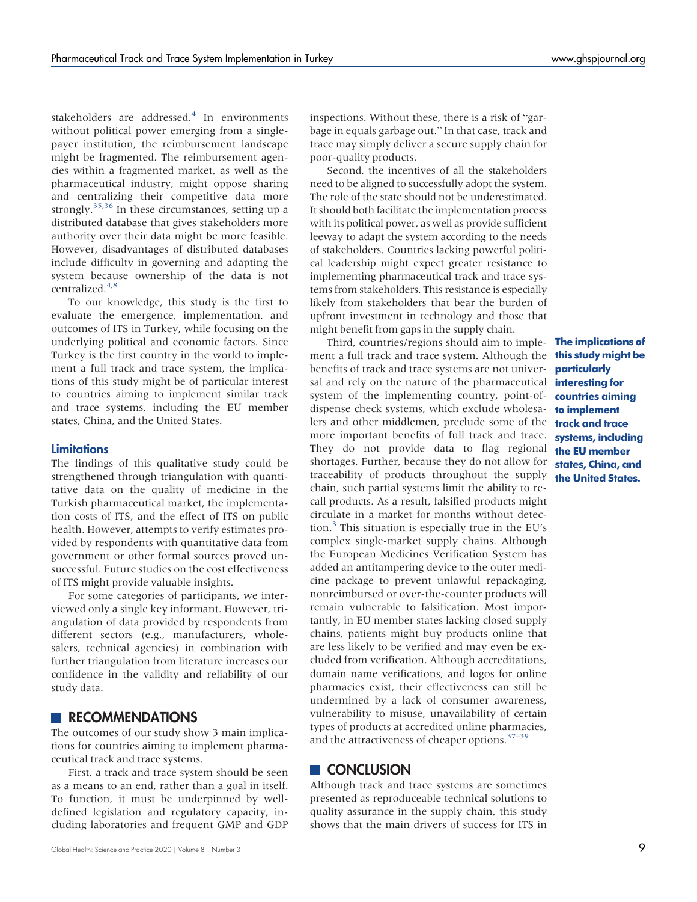stakeholders are addressed. $4$  In environments without political power emerging from a singlepayer institution, the reimbursement landscape might be fragmented. The reimbursement agencies within a fragmented market, as well as the pharmaceutical industry, might oppose sharing and centralizing their competitive data more strongly.<sup>[35,](#page-10-9)[36](#page-10-10)</sup> In these circumstances, setting up a distributed database that gives stakeholders more authority over their data might be more feasible. However, disadvantages of distributed databases include difficulty in governing and adapting the system because ownership of the data is not centralized.<sup>[4,](#page-9-4)[8](#page-9-9)</sup>

To our knowledge, this study is the first to evaluate the emergence, implementation, and outcomes of ITS in Turkey, while focusing on the underlying political and economic factors. Since Turkey is the first country in the world to implement a full track and trace system, the implications of this study might be of particular interest to countries aiming to implement similar track and trace systems, including the EU member states, China, and the United States.

#### **Limitations**

The findings of this qualitative study could be strengthened through triangulation with quantitative data on the quality of medicine in the Turkish pharmaceutical market, the implementation costs of ITS, and the effect of ITS on public health. However, attempts to verify estimates provided by respondents with quantitative data from government or other formal sources proved unsuccessful. Future studies on the cost effectiveness of ITS might provide valuable insights.

For some categories of participants, we interviewed only a single key informant. However, triangulation of data provided by respondents from different sectors (e.g., manufacturers, wholesalers, technical agencies) in combination with further triangulation from literature increases our confidence in the validity and reliability of our study data.

#### **RECOMMENDATIONS**

The outcomes of our study show 3 main implications for countries aiming to implement pharmaceutical track and trace systems.

First, a track and trace system should be seen as a means to an end, rather than a goal in itself. To function, it must be underpinned by welldefined legislation and regulatory capacity, including laboratories and frequent GMP and GDP

inspections. Without these, there is a risk of "garbage in equals garbage out." In that case, track and trace may simply deliver a secure supply chain for poor-quality products.

Second, the incentives of all the stakeholders need to be aligned to successfully adopt the system. The role of the state should not be underestimated. It should both facilitate the implementation process with its political power, as well as provide sufficient leeway to adapt the system according to the needs of stakeholders. Countries lacking powerful political leadership might expect greater resistance to implementing pharmaceutical track and trace systems from stakeholders. This resistance is especially likely from stakeholders that bear the burden of upfront investment in technology and those that might benefit from gaps in the supply chain.

Third, countries/regions should aim to imple- **The implications of** ment a full track and trace system. Although the **this study might be** benefits of track and trace systems are not universal and rely on the nature of the pharmaceutical **interesting for** system of the implementing country, point-ofdispense check systems, which exclude wholesalers and other middlemen, preclude some of the **track and trace** more important benefits of full track and trace. systems, including They do not provide data to flag regional shortages. Further, because they do not allow for traceability of products throughout the supply chain, such partial systems limit the ability to recall products. As a result, falsified products might circulate in a market for months without detection. $\beta$  This situation is especially true in the EU's complex single-market supply chains. Although the European Medicines Verification System has added an antitampering device to the outer medicine package to prevent unlawful repackaging, nonreimbursed or over-the-counter products will remain vulnerable to falsification. Most importantly, in EU member states lacking closed supply chains, patients might buy products online that are less likely to be verified and may even be excluded from verification. Although accreditations, domain name verifications, and logos for online pharmacies exist, their effectiveness can still be undermined by a lack of consumer awareness, vulnerability to misuse, unavailability of certain types of products at accredited online pharmacies, and the attractiveness of cheaper options.<sup>[37](#page-10-11)–[39](#page-10-12)</sup>

## **CONCLUSION**

Although track and trace systems are sometimes presented as reproduceable technical solutions to quality assurance in the supply chain, this study shows that the main drivers of success for ITS in

particularly countries aiming to implement the EU member states, China, and the United States.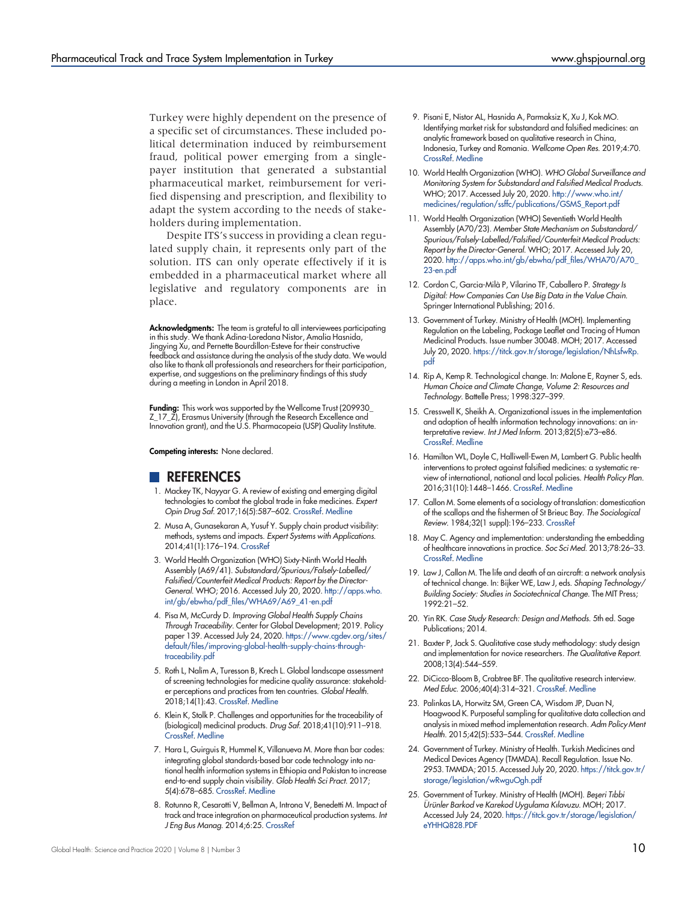Turkey were highly dependent on the presence of a specific set of circumstances. These included political determination induced by reimbursement fraud, political power emerging from a singlepayer institution that generated a substantial pharmaceutical market, reimbursement for verified dispensing and prescription, and flexibility to adapt the system according to the needs of stakeholders during implementation.

Despite ITS's success in providing a clean regulated supply chain, it represents only part of the solution. ITS can only operate effectively if it is embedded in a pharmaceutical market where all legislative and regulatory components are in place.

Acknowledgments: The team is grateful to all interviewees participating in this study. We thank Adina-Loredana Nistor, Amalia Hasnida, Jingying Xu, and Pernette Bourdillon-Esteve for their constructive feedback and assistance during the analysis of the study data. We would also like to thank all professionals and researchers for their participation, expertise, and suggestions on the preliminary findings of this study during a meeting in London in April 2018.

Funding: This work was supported by the Wellcome Trust (209930\_ Z\_17\_Z), Erasmus University (through the Research Excellence and Innovation grant), and the U.S. Pharmacopeia (USP) Quality Institute.

Competing interests: None declared.

#### **REFERENCES**

- <span id="page-9-0"></span>1. Mackey TK, Nayyar G. A review of existing and emerging digital technologies to combat the global trade in fake medicines. Expert Opin Drug Saf. 2017;16(5):587–602. [CrossRef.](https://doi.org/10.1080/14740338.2017.1313227) [Medline](http://www.ncbi.nlm.nih.gov/pubmed/28349715)
- <span id="page-9-1"></span>2. Musa A, Gunasekaran A, Yusuf Y. Supply chain product visibility: methods, systems and impacts. Expert Systems with Applications. 2014;41(1):176–194. [CrossRef](https://doi.org/10.1016/j.eswa.2013.07.020)
- <span id="page-9-2"></span>3. World Health Organization (WHO) Sixty-Ninth World Health Assembly (A69/41). Substandard/Spurious/Falsely-Labelled/ Falsified/Counterfeit Medical Products: Report by the Director-General. WHO; 2016. Accessed July 20, 2020. [http://apps.who.](http://apps.who.int/gb/ebwha/pdf_files/WHA69/A69_41-en.pdf) [int/gb/ebwha/pdf\\_files/WHA69/A69\\_41-en.pdf](http://apps.who.int/gb/ebwha/pdf_files/WHA69/A69_41-en.pdf)
- <span id="page-9-4"></span>4. Pisa M, McCurdy D. Improving Global Health Supply Chains Through Traceability. Center for Global Development; 2019. Policy paper 139. Accessed July 24, 2020. [https://www.cgdev.org/sites/](https://www.cgdev.org/sites/default/files/improving-global-health-supply-chains-through-traceability.pdf) [default/files/improving-global-health-supply-chains-through](https://www.cgdev.org/sites/default/files/improving-global-health-supply-chains-through-traceability.pdf)[traceability.pdf](https://www.cgdev.org/sites/default/files/improving-global-health-supply-chains-through-traceability.pdf)
- <span id="page-9-3"></span>5. Roth L, Nalim A, Turesson B, Krech L. Global landscape assessment of screening technologies for medicine quality assurance: stakeholder perceptions and practices from ten countries. Global Health. 2018;14(1):43. [CrossRef](https://doi.org/10.1186/s12992-018-0360-y). [Medline](http://www.ncbi.nlm.nih.gov/pubmed/29695278)
- <span id="page-9-5"></span>6. Klein K, Stolk P. Challenges and opportunities for the traceability of (biological) medicinal products. Drug Saf. 2018;41(10):911–918. [CrossRef.](https://doi.org/10.1007/s40264-018-0678-7) [Medline](http://www.ncbi.nlm.nih.gov/pubmed/29721822)
- 7. Hara L, Guirguis R, Hummel K, Villanueva M. More than bar codes: integrating global standards-based bar code technology into national health information systems in Ethiopia and Pakistan to increase end-to-end supply chain visibility. Glob Health Sci Pract. 2017; 5(4):678–685. [CrossRef.](https://doi.org/10.9745/GHSP-D-16-00350) [Medline](http://www.ncbi.nlm.nih.gov/pubmed/29284701)
- <span id="page-9-9"></span>8. Rotunno R, Cesarotti V, Bellman A, Introna V, Benedetti M. Impact of track and trace integration on pharmaceutical production systems. Int J Eng Bus Manag. 2014;6:25. [CrossRef](https://doi.org/10.5772/58934)
- <span id="page-9-6"></span>9. Pisani E, Nistor AL, Hasnida A, Parmaksiz K, Xu J, Kok MO. Identifying market risk for substandard and falsified medicines: an analytic framework based on qualitative research in China, Indonesia, Turkey and Romania. Wellcome Open Res. 2019;4:70. [CrossRef](https://doi.org/10.12688/wellcomeopenres.15236.1). [Medline](http://www.ncbi.nlm.nih.gov/pubmed/31131333)
- <span id="page-9-7"></span>10. World Health Organization (WHO). WHO Global Surveillance and Monitoring System for Substandard and Falsified Medical Products. WHO; 2017. Accessed July 20, 2020. [http://www.who.int/](http://www.who.int/medicines/regulation/ssffc/publications/GSMS_Report.pdf) [medicines/regulation/ssffc/publications/GSMS\\_Report.pdf](http://www.who.int/medicines/regulation/ssffc/publications/GSMS_Report.pdf)
- <span id="page-9-8"></span>11. World Health Organization (WHO) Seventieth World Health Assembly (A70/23). Member State Mechanism on Substandard/ Spurious/Falsely-Labelled/Falsified/Counterfeit Medical Products: Report by the Director-General. WHO; 2017. Accessed July 20, 2020. [http://apps.who.int/gb/ebwha/pdf\\_files/WHA70/A70\\_](http://apps.who.int/gb/ebwha/pdf_files/WHA70/A70_23-en.pdf) [23-en.pdf](http://apps.who.int/gb/ebwha/pdf_files/WHA70/A70_23-en.pdf)
- <span id="page-9-10"></span>12. Cordon C, Garcia-Milà P, Vilarino TF, Caballero P. Strategy Is Digital: How Companies Can Use Big Data in the Value Chain. Springer International Publishing; 2016.
- <span id="page-9-11"></span>13. Government of Turkey. Ministry of Health (MOH). Implementing Regulation on the Labeling, Package Leaflet and Tracing of Human Medicinal Products. Issue number 30048. MOH; 2017. Accessed July 20, 2020. [https://titck.gov.tr/storage/legislation/NhLsfwRp.](https://titck.gov.tr/storage/legislation/NhLsfwRp.pdf) [pdf](https://titck.gov.tr/storage/legislation/NhLsfwRp.pdf)
- <span id="page-9-12"></span>14. Rip A, Kemp R. Technological change. In: Malone E, Rayner S, eds. Human Choice and Climate Change, Volume 2: Resources and Technology. Battelle Press; 1998:327–399.
- 15. Cresswell K, Sheikh A. Organizational issues in the implementation and adoption of health information technology innovations: an interpretative review. Int J Med Inform. 2013;82(5):e73–e86. [CrossRef](https://doi.org/10.1016/j.ijmedinf.2012.10.007). [Medline](http://www.ncbi.nlm.nih.gov/pubmed/23146626)
- <span id="page-9-13"></span>16. Hamilton WL, Doyle C, Halliwell-Ewen M, Lambert G. Public health interventions to protect against falsified medicines: a systematic review of international, national and local policies. Health Policy Plan. 2016;31(10):1448–1466. [CrossRef](https://doi.org/10.1093/heapol/czw062). [Medline](http://www.ncbi.nlm.nih.gov/pubmed/27311827)
- <span id="page-9-14"></span>17. Callon M. Some elements of a sociology of translation: domestication of the scallops and the fishermen of St Brieuc Bay. The Sociological Review. 1984;32(1 suppl):196–233. [CrossRef](https://doi.org/10.1111/j.1467-954X.1984.tb00113.x)
- <span id="page-9-15"></span>18. May C. Agency and implementation: understanding the embedding of healthcare innovations in practice. Soc Sci Med. 2013;78:26–33. [CrossRef](https://doi.org/10.1016/j.socscimed.2012.11.021). [Medline](http://www.ncbi.nlm.nih.gov/pubmed/23246396)
- <span id="page-9-16"></span>19. Law J, Callon M. The life and death of an aircraft: a network analysis of technical change. In: Bijker WE, Law J, eds. Shaping Technology/ Building Society: Studies in Sociotechnical Change. The MIT Press; 1992:21–52.
- <span id="page-9-17"></span>20. Yin RK. Case Study Research: Design and Methods. 5th ed. Sage Publications; 2014.
- <span id="page-9-18"></span>21. Baxter P, Jack S. Qualitative case study methodology: study design and implementation for novice researchers. The Qualitative Report. 2008;13(4):544–559.
- <span id="page-9-19"></span>22. DiCicco-Bloom B, Crabtree BF. The qualitative research interview. Med Educ. 2006;40(4):314–321. [CrossRef.](https://doi.org/10.1111/j.1365-2929.2006.02418.x) [Medline](http://www.ncbi.nlm.nih.gov/pubmed/16573666)
- <span id="page-9-20"></span>23. Palinkas LA, Horwitz SM, Green CA, Wisdom JP, Duan N, Hoagwood K. Purposeful sampling for qualitative data collection and analysis in mixed method implementation research. Adm Policy Ment Health. 2015;42(5):533–544. [CrossRef](https://doi.org/10.1007/s10488-013-0528-y). [Medline](http://www.ncbi.nlm.nih.gov/pubmed/24193818)
- <span id="page-9-21"></span>24. Government of Turkey. Ministry of Health. Turkish Medicines and Medical Devices Agency (TMMDA). Recall Regulation. Issue No. 2953. TMMDA; 2015. Accessed July 20, 2020. [https://titck.gov.tr/](https://titck.gov.tr/storage/legislation/wRwguOgh.pdf) [storage/legislation/wRwguOgh.pdf](https://titck.gov.tr/storage/legislation/wRwguOgh.pdf)
- <span id="page-9-22"></span>25. Government of Turkey. Ministry of Health (MOH). Beseri Tıbbi Ürünler Barkod ve Karekod Uygulama Kılavuzu. MOH; 2017. Accessed July 24, 2020. [https://titck.gov.tr/storage/legislation/](https://titck.gov.tr/storage/legislation/eYHHQ828.PDF) [eYHHQ828.PDF](https://titck.gov.tr/storage/legislation/eYHHQ828.PDF)